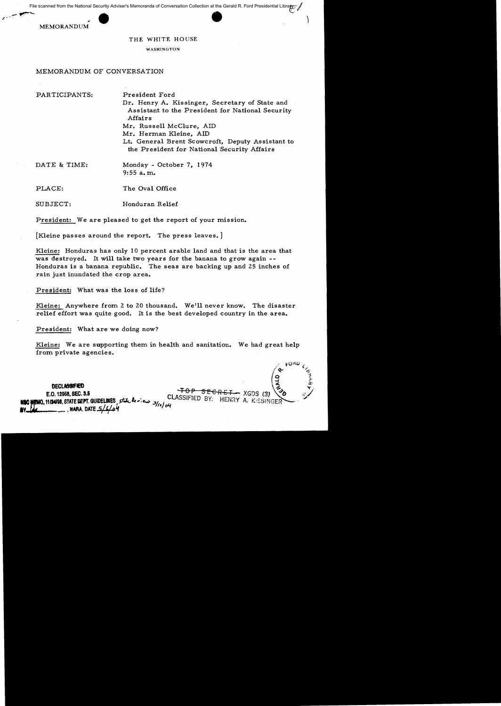File scanned from the National Security Adviser's Memoranda of Conversation Collection at the Gerald R. Ford Presidential Library<br>MEMORANDUM<br>THE WHITE HOUSE



## THE WHITE HOUSE

WASHINGTON

## MEMORANDUM OF CONVERSATION

PARTICIPANTS: President Ford

Dr. Henry A. Kissinger, Secretary of State and Assistant to the President for National Security Affairs Mr. Russell McClure, AID Mr. Herman Kleine, AID Lt. General Brent Scowcroft, Deputy Assistant to the President for National Security Mfairs

MEMORANDUM

DATE & TIME: Monday - October 7, 1974 9:55 a. m.

PLACE: The Oval Office

SUBJECT: Honduran Relief

President: We are pleased to get the report of your mission.

[Kleine passes around the report. The press leaves. ]

Kleine: Honduras has only 10 percent arable land and that is the area that was destroyed. It will take two years for the banana to grow again --Honduras is a banana republic. The seas are backing up and 25 inches of rain just inundated the crop area.

President: What was the loss of life?

Kleine: Anywhere from 2 to 20 thousand. We'll never know. The disaster relief effort was quite good. It is the best developed country in the area.

President: What are we doing now?

Kleine: We are supporting them in health and sanitation. We had great help from private agencies.

 $\sqrt{e^{\epsilon_{\rm ORD}c/\hbar}}$  $\left( \begin{matrix} 1 & 0 \\ 0 & 0 \\ 0 & 0 \end{matrix} \right)$ **DECLASSIFIED 12**  $\begin{pmatrix} 9 & 3 & 3 \ 2 & 3 & 2 \ 2 & 3 & 2 \end{pmatrix}$ <br> **E.O. 12958, SEC. 3.5 P SEC. 2.5 P SECRET...** XGDS (3)  $\begin{pmatrix} 9 & 3 \ 6 & 3 \end{pmatrix}$ \_f!MO.11114198,STATELlEPT.GU1DEUNES,stf...,lt,:c,..,. 311'/~LASSIFlED BY; HENRY A. K:SSINGER . **IV r.k-** \_\_ 1 MARA, DATE #'1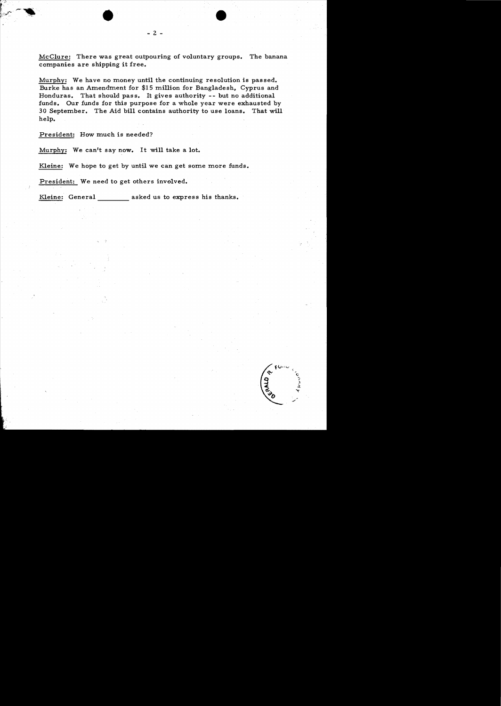McClure: There was great outpouring of voluntary groups. The banana companies are shipping it free.

Murphy: We have no money until the continuing resolution is passed. Burke has an Amendment for \$15 million for Bangladesh, Cyprus and Honduras. That should pass. It gives authority -- but no additional funds. Our funds for this purpose for a whole year were exhausted by 30 September. The Aid bill contains authority to use loans. That will help.

President: How much is needed?

Murphy: We can't say now. It will take a lot.

•

Kleine: We hope to get by until we can get some more funds.

President: We need to get others involved.

Kleine: General asked us to express his thanks.